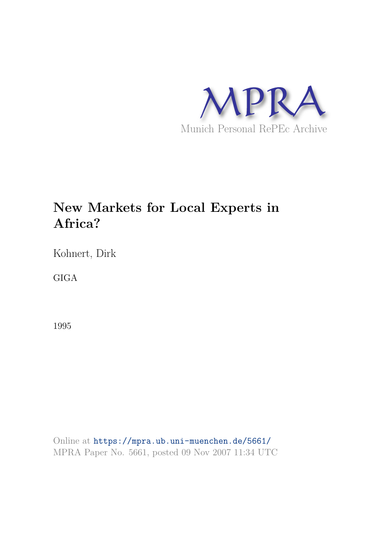

# **New Markets for Local Experts in Africa?**

Kohnert, Dirk

GIGA

1995

Online at https://mpra.ub.uni-muenchen.de/5661/ MPRA Paper No. 5661, posted 09 Nov 2007 11:34 UTC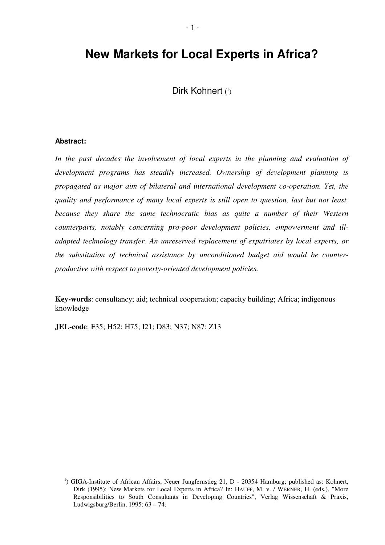## **New Markets for Local Experts in Africa?**

Dirk Kohnert (1)

### **Abstract:**

In the past decades the involvement of local experts in the planning and evaluation of *development programs has steadily increased. Ownership of development planning is propagated as major aim of bilateral and international development co-operation. Yet, the quality and performance of many local experts is still open to question, last but not least, because they share the same technocratic bias as quite a number of their Western counterparts, notably concerning pro-poor development policies, empowerment and illadapted technology transfer. An unreserved replacement of expatriates by local experts, or the substitution of technical assistance by unconditioned budget aid would be counterproductive with respect to poverty-oriented development policies.*

**Key-words**: consultancy; aid; technical cooperation; capacity building; Africa; indigenous knowledge

**JEL-code**: F35; H52; H75; I21; D83; N37; N87; Z13

<sup>&</sup>lt;sup>1</sup>) GIGA-Institute of African Affairs, Neuer Jungfernstieg 21, D - 20354 Hamburg; published as: Kohnert, Dirk (1995): New Markets for Local Experts in Africa? In: HAUFF, M. v. / WERNER, H. (eds.), "More Responsibilities to South Consultants in Developing Countries", Verlag Wissenschaft & Praxis, Ludwigsburg/Berlin, 1995: 63 – 74.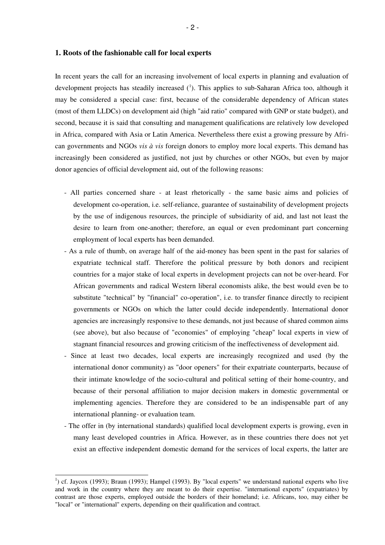In recent years the call for an increasing involvement of local experts in planning and evaluation of development projects has steadily increased  $(1)$ . This applies to sub-Saharan Africa too, although it may be considered a special case: first, because of the considerable dependency of African states (most of them LLDCs) on development aid (high "aid ratio" compared with GNP or state budget), and second, because it is said that consulting and management qualifications are relatively low developed in Africa, compared with Asia or Latin America. Nevertheless there exist a growing pressure by African governments and NGOs *vis à vis* foreign donors to employ more local experts. This demand has increasingly been considered as justified, not just by churches or other NGOs, but even by major donor agencies of official development aid, out of the following reasons:

- All parties concerned share at least rhetorically the same basic aims and policies of development co-operation, i.e. self-reliance, guarantee of sustainability of development projects by the use of indigenous resources, the principle of subsidiarity of aid, and last not least the desire to learn from one-another; therefore, an equal or even predominant part concerning employment of local experts has been demanded.
- As a rule of thumb, on average half of the aid-money has been spent in the past for salaries of expatriate technical staff. Therefore the political pressure by both donors and recipient countries for a major stake of local experts in development projects can not be over-heard. For African governments and radical Western liberal economists alike, the best would even be to substitute "technical" by "financial" co-operation", i.e. to transfer finance directly to recipient governments or NGOs on which the latter could decide independently. International donor agencies are increasingly responsive to these demands, not just because of shared common aims (see above), but also because of "economies" of employing "cheap" local experts in view of stagnant financial resources and growing criticism of the ineffectiveness of development aid.
- Since at least two decades, local experts are increasingly recognized and used (by the international donor community) as "door openers" for their expatriate counterparts, because of their intimate knowledge of the socio-cultural and political setting of their home-country, and because of their personal affiliation to major decision makers in domestic governmental or implementing agencies. Therefore they are considered to be an indispensable part of any international planning- or evaluation team.
- The offer in (by international standards) qualified local development experts is growing, even in many least developed countries in Africa. However, as in these countries there does not yet exist an effective independent domestic demand for the services of local experts, the latter are

<sup>&</sup>lt;sup>1</sup>) cf. Jaycox (1993); Braun (1993); Hampel (1993). By "local experts" we understand national experts who live and work in the country where they are meant to do their expertise. "international experts" (expatriates) by contrast are those experts, employed outside the borders of their homeland; i.e. Africans, too, may either be "local" or "international" experts, depending on their qualification and contract.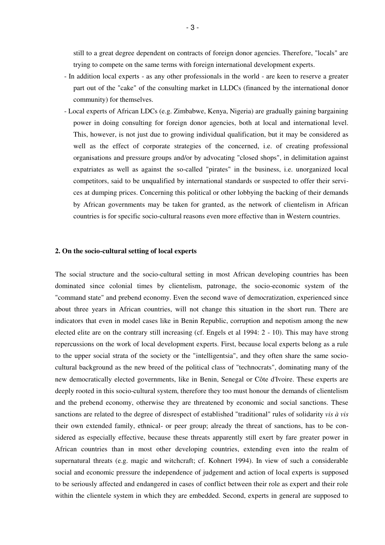still to a great degree dependent on contracts of foreign donor agencies. Therefore, "locals" are trying to compete on the same terms with foreign international development experts.

- In addition local experts as any other professionals in the world are keen to reserve a greater part out of the "cake" of the consulting market in LLDCs (financed by the international donor community) for themselves.
- Local experts of African LDCs (e.g. Zimbabwe, Kenya, Nigeria) are gradually gaining bargaining power in doing consulting for foreign donor agencies, both at local and international level. This, however, is not just due to growing individual qualification, but it may be considered as well as the effect of corporate strategies of the concerned, i.e. of creating professional organisations and pressure groups and/or by advocating "closed shops", in delimitation against expatriates as well as against the so-called "pirates" in the business, i.e. unorganized local competitors, said to be unqualified by international standards or suspected to offer their services at dumping prices. Concerning this political or other lobbying the backing of their demands by African governments may be taken for granted, as the network of clientelism in African countries is for specific socio-cultural reasons even more effective than in Western countries.

#### **2. On the socio-cultural setting of local experts**

The social structure and the socio-cultural setting in most African developing countries has been dominated since colonial times by clientelism, patronage, the socio-economic system of the "command state" and prebend economy. Even the second wave of democratization, experienced since about three years in African countries, will not change this situation in the short run. There are indicators that even in model cases like in Benin Republic, corruption and nepotism among the new elected elite are on the contrary still increasing (cf. Engels et al 1994: 2 - 10). This may have strong repercussions on the work of local development experts. First, because local experts belong as a rule to the upper social strata of the society or the "intelligentsia", and they often share the same sociocultural background as the new breed of the political class of "technocrats", dominating many of the new democratically elected governments, like in Benin, Senegal or Côte d'Ivoire. These experts are deeply rooted in this socio-cultural system, therefore they too must honour the demands of clientelism and the prebend economy, otherwise they are threatened by economic and social sanctions. These sanctions are related to the degree of disrespect of established "traditional" rules of solidarity *vis à vis* their own extended family, ethnical- or peer group; already the threat of sanctions, has to be considered as especially effective, because these threats apparently still exert by fare greater power in African countries than in most other developing countries, extending even into the realm of supernatural threats (e.g. magic and witchcraft; cf. Kohnert 1994). In view of such a considerable social and economic pressure the independence of judgement and action of local experts is supposed to be seriously affected and endangered in cases of conflict between their role as expert and their role within the clientele system in which they are embedded. Second, experts in general are supposed to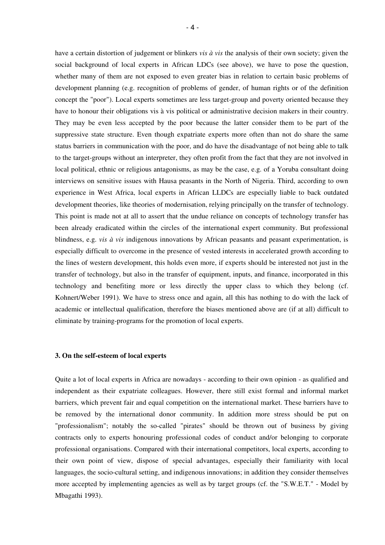have a certain distortion of judgement or blinkers *vis à vis* the analysis of their own society; given the social background of local experts in African LDCs (see above), we have to pose the question, whether many of them are not exposed to even greater bias in relation to certain basic problems of development planning (e.g. recognition of problems of gender, of human rights or of the definition concept the "poor"). Local experts sometimes are less target-group and poverty oriented because they have to honour their obligations vis à vis political or administrative decision makers in their country. They may be even less accepted by the poor because the latter consider them to be part of the suppressive state structure. Even though expatriate experts more often than not do share the same status barriers in communication with the poor, and do have the disadvantage of not being able to talk to the target-groups without an interpreter, they often profit from the fact that they are not involved in local political, ethnic or religious antagonisms, as may be the case, e.g. of a Yoruba consultant doing interviews on sensitive issues with Hausa peasants in the North of Nigeria. Third, according to own experience in West Africa, local experts in African LLDCs are especially liable to back outdated development theories, like theories of modernisation, relying principally on the transfer of technology. This point is made not at all to assert that the undue reliance on concepts of technology transfer has been already eradicated within the circles of the international expert community. But professional blindness, e.g. *vis à vis* indigenous innovations by African peasants and peasant experimentation, is especially difficult to overcome in the presence of vested interests in accelerated growth according to the lines of western development, this holds even more, if experts should be interested not just in the transfer of technology, but also in the transfer of equipment, inputs, and finance, incorporated in this technology and benefiting more or less directly the upper class to which they belong (cf. Kohnert/Weber 1991). We have to stress once and again, all this has nothing to do with the lack of academic or intellectual qualification, therefore the biases mentioned above are (if at all) difficult to eliminate by training-programs for the promotion of local experts.

#### **3. On the self-esteem of local experts**

Quite a lot of local experts in Africa are nowadays - according to their own opinion - as qualified and independent as their expatriate colleagues. However, there still exist formal and informal market barriers, which prevent fair and equal competition on the international market. These barriers have to be removed by the international donor community. In addition more stress should be put on "professionalism"; notably the so-called "pirates" should be thrown out of business by giving contracts only to experts honouring professional codes of conduct and/or belonging to corporate professional organisations. Compared with their international competitors, local experts, according to their own point of view, dispose of special advantages, especially their familiarity with local languages, the socio-cultural setting, and indigenous innovations; in addition they consider themselves more accepted by implementing agencies as well as by target groups (cf. the "S.W.E.T." - Model by Mbagathi 1993).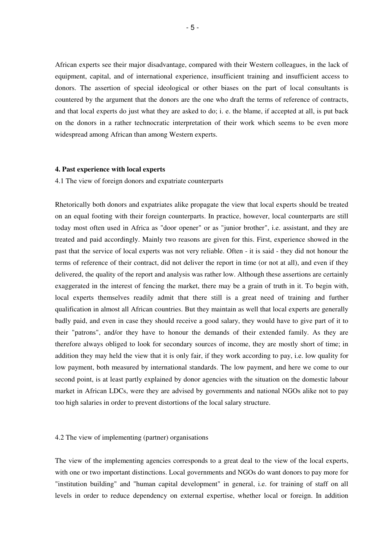African experts see their major disadvantage, compared with their Western colleagues, in the lack of equipment, capital, and of international experience, insufficient training and insufficient access to donors. The assertion of special ideological or other biases on the part of local consultants is countered by the argument that the donors are the one who draft the terms of reference of contracts, and that local experts do just what they are asked to do; i. e. the blame, if accepted at all, is put back on the donors in a rather technocratic interpretation of their work which seems to be even more widespread among African than among Western experts.

#### **4. Past experience with local experts**

#### 4.1 The view of foreign donors and expatriate counterparts

Rhetorically both donors and expatriates alike propagate the view that local experts should be treated on an equal footing with their foreign counterparts. In practice, however, local counterparts are still today most often used in Africa as "door opener" or as "junior brother", i.e. assistant, and they are treated and paid accordingly. Mainly two reasons are given for this. First, experience showed in the past that the service of local experts was not very reliable. Often - it is said - they did not honour the terms of reference of their contract, did not deliver the report in time (or not at all), and even if they delivered, the quality of the report and analysis was rather low. Although these assertions are certainly exaggerated in the interest of fencing the market, there may be a grain of truth in it. To begin with, local experts themselves readily admit that there still is a great need of training and further qualification in almost all African countries. But they maintain as well that local experts are generally badly paid, and even in case they should receive a good salary, they would have to give part of it to their "patrons", and/or they have to honour the demands of their extended family. As they are therefore always obliged to look for secondary sources of income, they are mostly short of time; in addition they may held the view that it is only fair, if they work according to pay, i.e. low quality for low payment, both measured by international standards. The low payment, and here we come to our second point, is at least partly explained by donor agencies with the situation on the domestic labour market in African LDCs, were they are advised by governments and national NGOs alike not to pay too high salaries in order to prevent distortions of the local salary structure.

#### 4.2 The view of implementing (partner) organisations

The view of the implementing agencies corresponds to a great deal to the view of the local experts, with one or two important distinctions. Local governments and NGOs do want donors to pay more for "institution building" and "human capital development" in general, i.e. for training of staff on all levels in order to reduce dependency on external expertise, whether local or foreign. In addition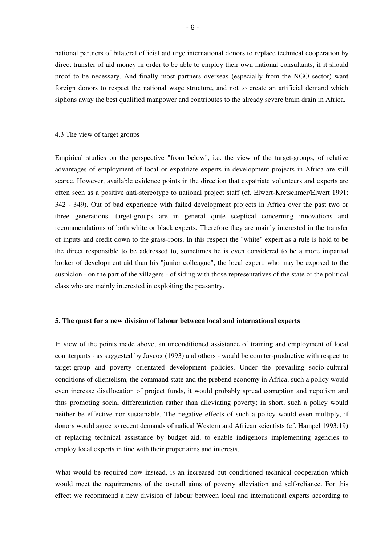national partners of bilateral official aid urge international donors to replace technical cooperation by direct transfer of aid money in order to be able to employ their own national consultants, if it should proof to be necessary. And finally most partners overseas (especially from the NGO sector) want foreign donors to respect the national wage structure, and not to create an artificial demand which siphons away the best qualified manpower and contributes to the already severe brain drain in Africa.

#### 4.3 The view of target groups

Empirical studies on the perspective "from below", i.e. the view of the target-groups, of relative advantages of employment of local or expatriate experts in development projects in Africa are still scarce. However, available evidence points in the direction that expatriate volunteers and experts are often seen as a positive anti-stereotype to national project staff (cf. Elwert-Kretschmer/Elwert 1991: 342 - 349). Out of bad experience with failed development projects in Africa over the past two or three generations, target-groups are in general quite sceptical concerning innovations and recommendations of both white or black experts. Therefore they are mainly interested in the transfer of inputs and credit down to the grass-roots. In this respect the "white" expert as a rule is hold to be the direct responsible to be addressed to, sometimes he is even considered to be a more impartial broker of development aid than his "junior colleague", the local expert, who may be exposed to the suspicion - on the part of the villagers - of siding with those representatives of the state or the political class who are mainly interested in exploiting the peasantry.

#### **5. The quest for a new division of labour between local and international experts**

In view of the points made above, an unconditioned assistance of training and employment of local counterparts - as suggested by Jaycox (1993) and others - would be counter-productive with respect to target-group and poverty orientated development policies. Under the prevailing socio-cultural conditions of clientelism, the command state and the prebend economy in Africa, such a policy would even increase disallocation of project funds, it would probably spread corruption and nepotism and thus promoting social differentiation rather than alleviating poverty; in short, such a policy would neither be effective nor sustainable. The negative effects of such a policy would even multiply, if donors would agree to recent demands of radical Western and African scientists (cf. Hampel 1993:19) of replacing technical assistance by budget aid, to enable indigenous implementing agencies to employ local experts in line with their proper aims and interests.

What would be required now instead, is an increased but conditioned technical cooperation which would meet the requirements of the overall aims of poverty alleviation and self-reliance. For this effect we recommend a new division of labour between local and international experts according to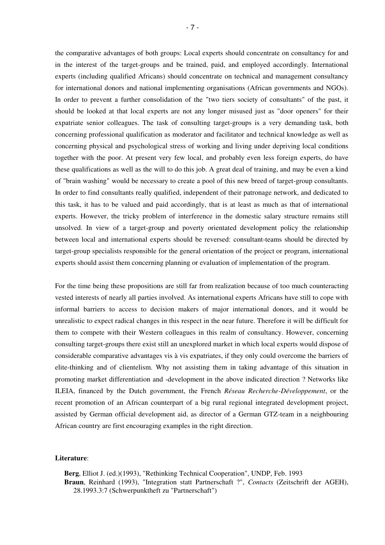the comparative advantages of both groups: Local experts should concentrate on consultancy for and in the interest of the target-groups and be trained, paid, and employed accordingly. International experts (including qualified Africans) should concentrate on technical and management consultancy for international donors and national implementing organisations (African governments and NGOs). In order to prevent a further consolidation of the "two tiers society of consultants" of the past, it should be looked at that local experts are not any longer misused just as "door openers" for their expatriate senior colleagues. The task of consulting target-groups is a very demanding task, both concerning professional qualification as moderator and facilitator and technical knowledge as well as concerning physical and psychological stress of working and living under depriving local conditions together with the poor. At present very few local, and probably even less foreign experts, do have these qualifications as well as the will to do this job. A great deal of training, and may be even a kind of "brain washing" would be necessary to create a pool of this new breed of target-group consultants. In order to find consultants really qualified, independent of their patronage network, and dedicated to this task, it has to be valued and paid accordingly, that is at least as much as that of international experts. However, the tricky problem of interference in the domestic salary structure remains still unsolved. In view of a target-group and poverty orientated development policy the relationship between local and international experts should be reversed: consultant-teams should be directed by target-group specialists responsible for the general orientation of the project or program, international experts should assist them concerning planning or evaluation of implementation of the program.

For the time being these propositions are still far from realization because of too much counteracting vested interests of nearly all parties involved. As international experts Africans have still to cope with informal barriers to access to decision makers of major international donors, and it would be unrealistic to expect radical changes in this respect in the near future. Therefore it will be difficult for them to compete with their Western colleagues in this realm of consultancy. However, concerning consulting target-groups there exist still an unexplored market in which local experts would dispose of considerable comparative advantages vis à vis expatriates, if they only could overcome the barriers of elite-thinking and of clientelism. Why not assisting them in taking advantage of this situation in promoting market differentiation and -development in the above indicated direction ? Networks like ILEIA, financed by the Dutch government, the French *Réseau Recherche-Développement*, or the recent promotion of an African counterpart of a big rural regional integrated development project, assisted by German official development aid, as director of a German GTZ-team in a neighbouring African country are first encouraging examples in the right direction.

#### **Literature**:

**Berg**, Elliot J. (ed.)(1993), "Rethinking Technical Cooperation", UNDP, Feb. 1993 **Braun**, Reinhard (1993), "Integration statt Partnerschaft ?", *Contacts* (Zeitschrift der AGEH), 28.1993.3:7 (Schwerpunktheft zu "Partnerschaft")